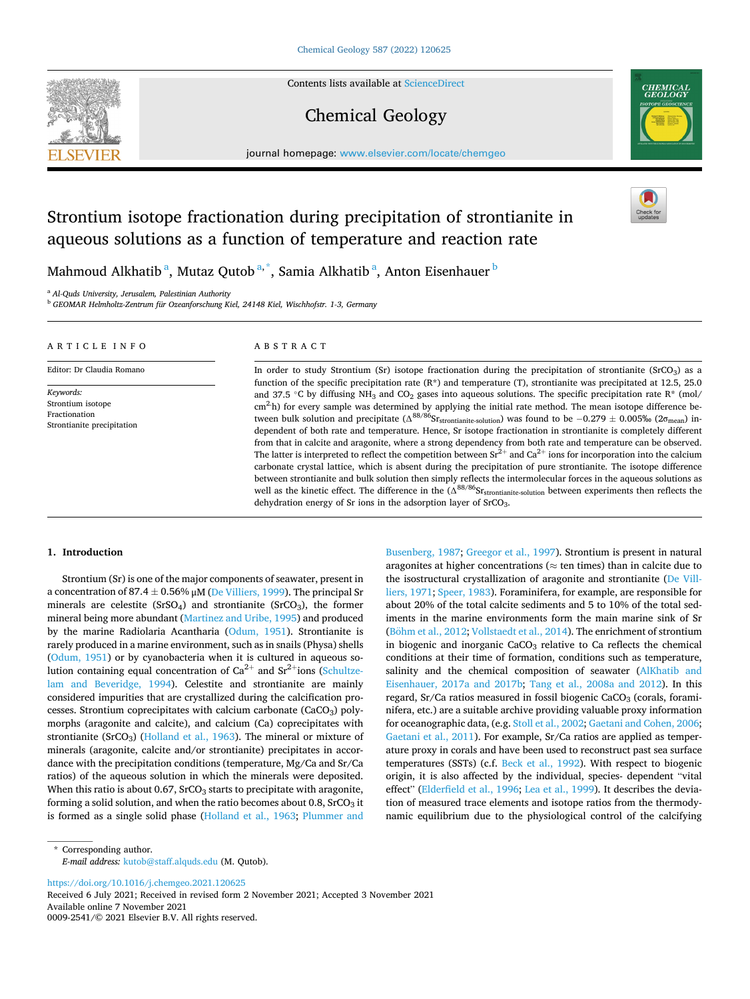

Contents lists available at [ScienceDirect](www.sciencedirect.com/science/journal/00092541)

# Chemical Geology



journal homepage: [www.elsevier.com/locate/chemgeo](https://www.elsevier.com/locate/chemgeo) 

# Strontium isotope fractionation during precipitation of strontianite in aqueous solutions as a function of temperature and reaction rate

Mahmoud Alkhatib<sup>a</sup>, Mutaz Qutob<sup>a,\*</sup>, Samia Alkhatib<sup>a</sup>, Anton Eisenhauer<sup>b</sup>

<sup>a</sup> *Al-Quds University, Jerusalem, Palestinian Authority* 

<sup>b</sup> *GEOMAR Helmholtz-Zentrum für Ozeanforschung Kiel, 24148 Kiel, Wischhofstr. 1-3, Germany* 

| ARTICLE INFO                                                                  | ABSTRACT                                                                                                                                                                                                                                                                                                                                                                                                                                                                                                                                                                                                                                                                                                                                                                                                                                                                                                                                                                                                                                                                                                                                                                                                    |
|-------------------------------------------------------------------------------|-------------------------------------------------------------------------------------------------------------------------------------------------------------------------------------------------------------------------------------------------------------------------------------------------------------------------------------------------------------------------------------------------------------------------------------------------------------------------------------------------------------------------------------------------------------------------------------------------------------------------------------------------------------------------------------------------------------------------------------------------------------------------------------------------------------------------------------------------------------------------------------------------------------------------------------------------------------------------------------------------------------------------------------------------------------------------------------------------------------------------------------------------------------------------------------------------------------|
| Editor: Dr Claudia Romano                                                     | In order to study Strontium (Sr) isotope fractionation during the precipitation of strontianite (SrCO <sub>3</sub> ) as a<br>function of the specific precipitation rate $(R^*)$ and temperature (T), strontianite was precipitated at 12.5, 25.0                                                                                                                                                                                                                                                                                                                                                                                                                                                                                                                                                                                                                                                                                                                                                                                                                                                                                                                                                           |
| Keywords:<br>Strontium isotope<br>Fractionation<br>Strontianite precipitation | and 37.5 °C by diffusing NH <sub>3</sub> and CO <sub>2</sub> gases into aqueous solutions. The specific precipitation rate R <sup>*</sup> (mol/<br>$\text{cm}^2$ -h) for every sample was determined by applying the initial rate method. The mean isotope difference be-<br>tween bulk solution and precipitate ( $\Delta^{88/86}$ Sr <sub>strontianite-solution</sub> ) was found to be $-0.279 \pm 0.005\%$ (2 $\sigma$ <sub>mean</sub> ) in-<br>dependent of both rate and temperature. Hence, Sr isotope fractionation in strontianite is completely different<br>from that in calcite and aragonite, where a strong dependency from both rate and temperature can be observed.<br>The latter is interpreted to reflect the competition between $Sr^{2+}$ and $Ca^{2+}$ ions for incorporation into the calcium<br>carbonate crystal lattice, which is absent during the precipitation of pure strontianite. The isotope difference<br>between strontianite and bulk solution then simply reflects the intermolecular forces in the aqueous solutions as<br>well as the kinetic effect. The difference in the $(\Delta^{88/86}S_{\text{Strontianite-solution}})$ between experiments then reflects the |

dehydration energy of Sr ions in the adsorption layer of SrCO<sub>3</sub>.

## **1. Introduction**

Strontium (Sr) is one of the major components of seawater, present in a concentration of 87.4  $\pm$  0.56% μM ([De Villiers, 1999](#page-6-0)). The principal Sr minerals are celestite ( $SrSO<sub>4</sub>$ ) and strontianite ( $SrCO<sub>3</sub>$ ), the former mineral being more abundant [\(Martinez and Uribe, 1995\)](#page-6-0) and produced by the marine Radiolaria Acantharia ([Odum, 1951\)](#page-6-0). Strontianite is rarely produced in a marine environment, such as in snails (Physa) shells ([Odum, 1951](#page-6-0)) or by cyanobacteria when it is cultured in aqueous solution containing equal concentration of  $Ca^{2+}$  and  $Sr^{2+}$ ions [\(Schultze](#page-6-0)[lam and Beveridge, 1994\)](#page-6-0). Celestite and strontianite are mainly considered impurities that are crystallized during the calcification processes. Strontium coprecipitates with calcium carbonate (CaCO<sub>3</sub>) polymorphs (aragonite and calcite), and calcium (Ca) coprecipitates with strontianite (SrCO<sub>3</sub>) [\(Holland et al., 1963\)](#page-6-0). The mineral or mixture of minerals (aragonite, calcite and/or strontianite) precipitates in accordance with the precipitation conditions (temperature, Mg/Ca and Sr/Ca ratios) of the aqueous solution in which the minerals were deposited. When this ratio is about 0.67,  $S<sub>1</sub>CO<sub>3</sub>$  starts to precipitate with aragonite, forming a solid solution, and when the ratio becomes about  $0.8$ , SrCO<sub>3</sub> it is formed as a single solid phase [\(Holland et al., 1963](#page-6-0); [Plummer and](#page-6-0) 

[Busenberg, 1987; Greegor et al., 1997](#page-6-0)). Strontium is present in natural aragonites at higher concentrations ( $\approx$  ten times) than in calcite due to the isostructural crystallization of aragonite and strontianite [\(De Vill](#page-6-0)[liers, 1971; Speer, 1983\)](#page-6-0). Foraminifera, for example, are responsible for about 20% of the total calcite sediments and 5 to 10% of the total sediments in the marine environments form the main marine sink of Sr (Böhm [et al., 2012; Vollstaedt et al., 2014\)](#page-6-0). The enrichment of strontium in biogenic and inorganic  $CaCO<sub>3</sub>$  relative to Ca reflects the chemical conditions at their time of formation, conditions such as temperature, salinity and the chemical composition of seawater (AlKhatib and [Eisenhauer, 2017a and 2017b](#page-6-0); [Tang et al., 2008a and 2012\)](#page-6-0). In this regard, Sr/Ca ratios measured in fossil biogenic CaCO<sub>3</sub> (corals, foraminifera, etc.) are a suitable archive providing valuable proxy information for oceanographic data, (e.g. [Stoll et al., 2002; Gaetani and Cohen, 2006](#page-6-0); [Gaetani et al., 2011\)](#page-6-0). For example, Sr/Ca ratios are applied as temperature proxy in corals and have been used to reconstruct past sea surface temperatures (SSTs) (c.f. [Beck et al., 1992](#page-6-0)). With respect to biogenic origin, it is also affected by the individual, species- dependent "vital effect" [\(Elderfield et al., 1996](#page-6-0); [Lea et al., 1999](#page-6-0)). It describes the deviation of measured trace elements and isotope ratios from the thermodynamic equilibrium due to the physiological control of the calcifying

<https://doi.org/10.1016/j.chemgeo.2021.120625>

Available online 7 November 2021 0009-2541/© 2021 Elsevier B.V. All rights reserved. Received 6 July 2021; Received in revised form 2 November 2021; Accepted 3 November 2021

<sup>\*</sup> Corresponding author. *E-mail address:* [kutob@staff.alquds.edu](mailto:kutob@staff.alquds.edu) (M. Qutob).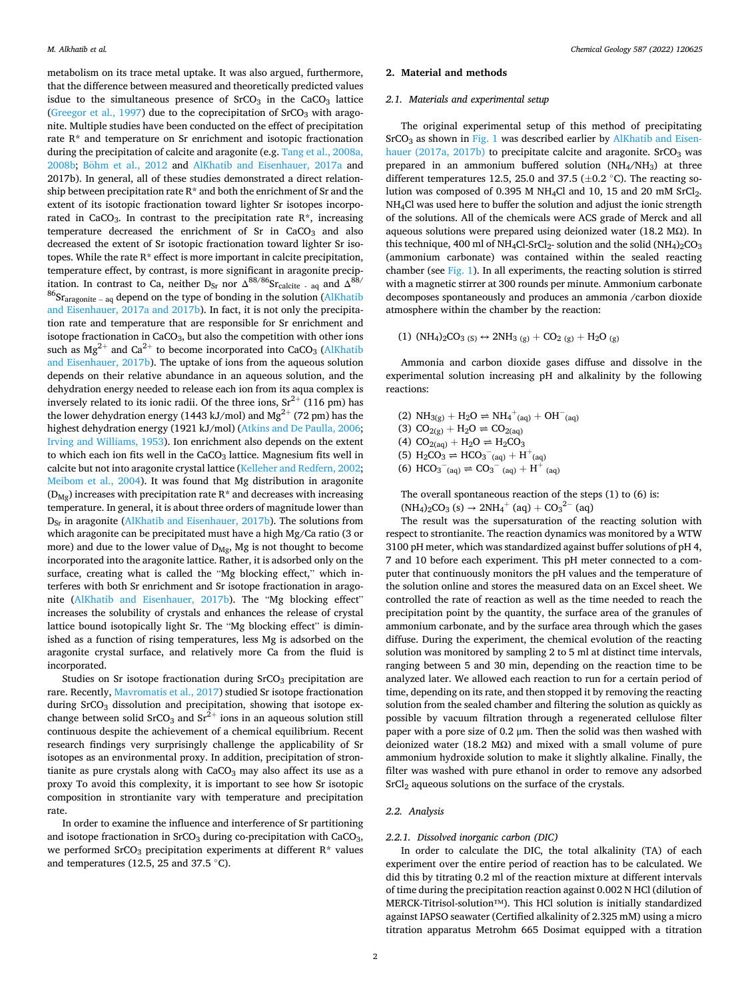metabolism on its trace metal uptake. It was also argued, furthermore, that the difference between measured and theoretically predicted values isdue to the simultaneous presence of  $SrCO<sub>3</sub>$  in the  $CaCO<sub>3</sub>$  lattice ([Greegor et al., 1997](#page-6-0)) due to the coprecipitation of  $SrCO<sub>3</sub>$  with aragonite. Multiple studies have been conducted on the effect of precipitation rate R\* and temperature on Sr enrichment and isotopic fractionation during the precipitation of calcite and aragonite (e.g. [Tang et al., 2008a,](#page-6-0)  [2008b;](#page-6-0) Böhm [et al., 2012](#page-6-0) and [AlKhatib and Eisenhauer, 2017a](#page-6-0) and 2017b). In general, all of these studies demonstrated a direct relationship between precipitation rate  $R^*$  and both the enrichment of Sr and the extent of its isotopic fractionation toward lighter Sr isotopes incorporated in CaCO<sub>3</sub>. In contrast to the precipitation rate  $R^*$ , increasing temperature decreased the enrichment of  $Sr$  in  $CaCO<sub>3</sub>$  and also decreased the extent of Sr isotopic fractionation toward lighter Sr isotopes. While the rate R\* effect is more important in calcite precipitation, temperature effect, by contrast, is more significant in aragonite precipitation. In contrast to Ca, neither  $D_{Sr}$  nor  $\Delta^{88/86}$ Sr<sub>calcite</sub> - <sub>aq</sub> and  $\Delta^{88/8}$  $^{86}Sr<sub>aragonite - aq</sub>$  depend on the type of bonding in the solution (AlKhatib [and Eisenhauer, 2017a and 2017b\)](#page-6-0). In fact, it is not only the precipitation rate and temperature that are responsible for Sr enrichment and isotope fractionation in  $CaCO<sub>3</sub>$ , but also the competition with other ions such as  $Mg^{2+}$  and  $Ca^{2+}$  to become incorporated into  $CaCO<sub>3</sub>$  (AlKhatib [and Eisenhauer, 2017b](#page-6-0)). The uptake of ions from the aqueous solution depends on their relative abundance in an aqueous solution, and the dehydration energy needed to release each ion from its aqua complex is inversely related to its ionic radii. Of the three ions,  $Sr^{2+}$  (116 pm) has the lower dehydration energy (1443 kJ/mol) and  $Mg^{2+}$  (72 pm) has the highest dehydration energy (1921 kJ/mol) ([Atkins and De Paulla, 2006](#page-6-0); [Irving and Williams, 1953](#page-6-0)). Ion enrichment also depends on the extent to which each ion fits well in the  $CaCO<sub>3</sub>$  lattice. Magnesium fits well in calcite but not into aragonite crystal lattice [\(Kelleher and Redfern, 2002](#page-6-0); [Meibom et al., 2004\)](#page-6-0). It was found that Mg distribution in aragonite  $(D_{Mg})$  increases with precipitation rate R\* and decreases with increasing temperature. In general, it is about three orders of magnitude lower than D<sub>Sr</sub> in aragonite [\(AlKhatib and Eisenhauer, 2017b](#page-6-0)). The solutions from which aragonite can be precipitated must have a high Mg/Ca ratio (3 or more) and due to the lower value of  $D_{Mg}$ , Mg is not thought to become incorporated into the aragonite lattice. Rather, it is adsorbed only on the surface, creating what is called the "Mg blocking effect," which interferes with both Sr enrichment and Sr isotope fractionation in aragonite [\(AlKhatib and Eisenhauer, 2017b\)](#page-6-0). The "Mg blocking effect" increases the solubility of crystals and enhances the release of crystal lattice bound isotopically light Sr. The "Mg blocking effect" is diminished as a function of rising temperatures, less Mg is adsorbed on the aragonite crystal surface, and relatively more Ca from the fluid is incorporated.

Studies on Sr isotope fractionation during SrCO<sub>3</sub> precipitation are rare. Recently, [Mavromatis et al., 2017\)](#page-6-0) studied Sr isotope fractionation during  $SrCO<sub>3</sub>$  dissolution and precipitation, showing that isotope exchange between solid  $SrCO<sub>3</sub>$  and  $Sr<sup>2+</sup>$  ions in an aqueous solution still continuous despite the achievement of a chemical equilibrium. Recent research findings very surprisingly challenge the applicability of Sr isotopes as an environmental proxy. In addition, precipitation of strontianite as pure crystals along with  $CaCO<sub>3</sub>$  may also affect its use as a proxy To avoid this complexity, it is important to see how Sr isotopic composition in strontianite vary with temperature and precipitation rate.

In order to examine the influence and interference of Sr partitioning and isotope fractionation in  $SrCO<sub>3</sub>$  during co-precipitation with  $CaCO<sub>3</sub>$ , we performed  $SrCO<sub>3</sub>$  precipitation experiments at different  $R*$  values and temperatures (12.5, 25 and 37.5 ◦C).

## **2. Material and methods**

## *2.1. Materials and experimental setup*

The original experimental setup of this method of precipitating SrCO<sub>3</sub> as shown in [Fig. 1](#page-2-0) was described earlier by [AlKhatib and Eisen](#page-6-0)[hauer \(2017a, 2017b\)](#page-6-0) to precipitate calcite and aragonite.  $S<sub>2</sub>$  stages have not are not are not are not are not are not are not are not are not are not are not are not are not are not are not are not are not are not prepared in an ammonium buffered solution  $(NH<sub>4</sub>/NH<sub>3</sub>)$  at three different temperatures 12.5, 25.0 and 37.5 ( $\pm$ 0.2 °C). The reacting solution was composed of 0.395 M NH<sub>4</sub>Cl and 10, 15 and 20 mM SrCl<sub>2</sub>. NH4Cl was used here to buffer the solution and adjust the ionic strength of the solutions. All of the chemicals were ACS grade of Merck and all aqueous solutions were prepared using deionized water (18.2 MΩ). In this technique, 400 ml of NH<sub>4</sub>Cl-SrCl<sub>2</sub>- solution and the solid (NH<sub>4</sub>)<sub>2</sub>CO<sub>3</sub> (ammonium carbonate) was contained within the sealed reacting chamber (see [Fig. 1\)](#page-2-0). In all experiments, the reacting solution is stirred with a magnetic stirrer at 300 rounds per minute. Ammonium carbonate decomposes spontaneously and produces an ammonia /carbon dioxide atmosphere within the chamber by the reaction:

(1)  $(NH_4)_2CO_3$  (s)  $\leftrightarrow$   $2NH_3$  (g) +  $CO_2$  (g) +  $H_2O$  (g)

Ammonia and carbon dioxide gases diffuse and dissolve in the experimental solution increasing pH and alkalinity by the following reactions:

(2)  $NH_{3(g)} + H_2O \rightleftharpoons NH_4^+(aq) + OH^-(aq)$ (3)  $CO_{2(g)} + H_2O \rightleftharpoons CO_{2(aq)}$ (4)  $CO_{2(aq)} + H_2O \rightleftharpoons H_2CO_3$ (5)  $H_2CO_3 \rightleftharpoons HCO_3^-_{(aq)} + H^+_{(aq)}$ 

(6)  $HCO_3^-$ <sub>(aq)</sub>  $\Rightarrow CO_3^-$ <sub>(aq)</sub>  $+ H^+$ <sub>(aq)</sub>

The overall spontaneous reaction of the steps (1) to (6) is:  $(NH_4)_2CO_3$  (s)  $\rightarrow 2NH_4^+$  (aq) +  $CO_3^2^-$  (aq)

The result was the supersaturation of the reacting solution with respect to strontianite. The reaction dynamics was monitored by a WTW 3100 pH meter, which was standardized against buffer solutions of pH 4, 7 and 10 before each experiment. This pH meter connected to a computer that continuously monitors the pH values and the temperature of the solution online and stores the measured data on an Excel sheet. We controlled the rate of reaction as well as the time needed to reach the precipitation point by the quantity, the surface area of the granules of ammonium carbonate, and by the surface area through which the gases diffuse. During the experiment, the chemical evolution of the reacting solution was monitored by sampling 2 to 5 ml at distinct time intervals, ranging between 5 and 30 min, depending on the reaction time to be analyzed later. We allowed each reaction to run for a certain period of time, depending on its rate, and then stopped it by removing the reacting solution from the sealed chamber and filtering the solution as quickly as possible by vacuum filtration through a regenerated cellulose filter paper with a pore size of 0.2  $\mu$ m. Then the solid was then washed with deionized water (18.2 MΩ) and mixed with a small volume of pure ammonium hydroxide solution to make it slightly alkaline. Finally, the filter was washed with pure ethanol in order to remove any adsorbed SrCl<sub>2</sub> aqueous solutions on the surface of the crystals.

### *2.2. Analysis*

#### *2.2.1. Dissolved inorganic carbon (DIC)*

In order to calculate the DIC, the total alkalinity (TA) of each experiment over the entire period of reaction has to be calculated. We did this by titrating 0.2 ml of the reaction mixture at different intervals of time during the precipitation reaction against 0.002 N HCl (dilution of MERCK-Titrisol-solution™). This HCl solution is initially standardized against IAPSO seawater (Certified alkalinity of 2.325 mM) using a micro titration apparatus Metrohm 665 Dosimat equipped with a titration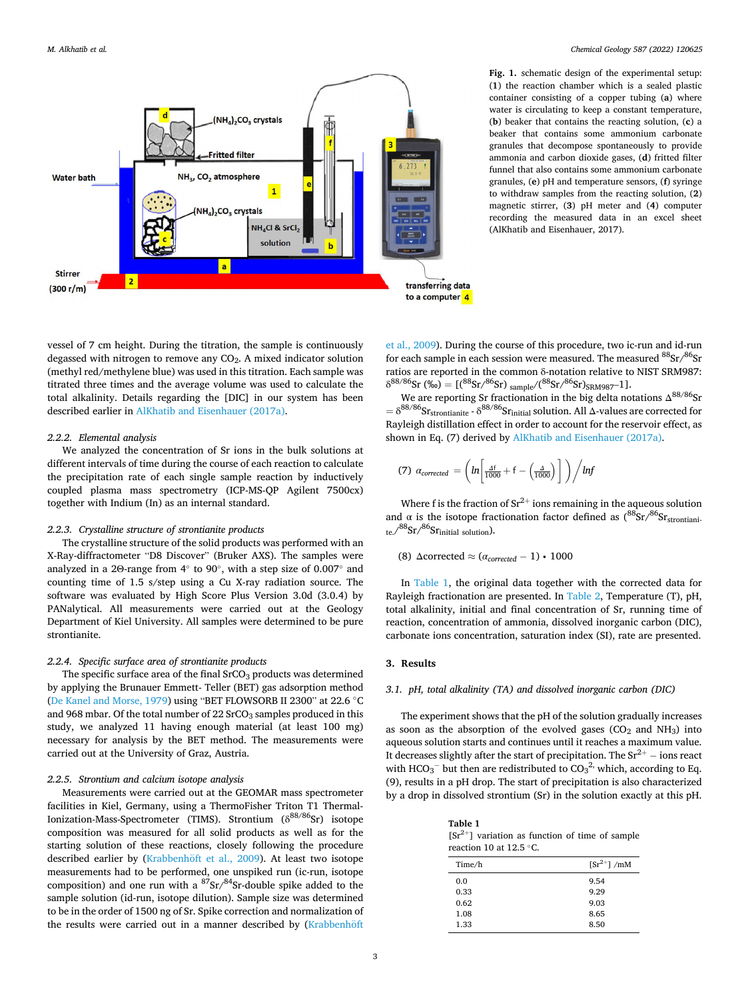<span id="page-2-0"></span>

**Fig. 1.** schematic design of the experimental setup: (**1**) the reaction chamber which is a sealed plastic container consisting of a copper tubing (**a**) where water is circulating to keep a constant temperature, (**b**) beaker that contains the reacting solution, (**c**) a beaker that contains some ammonium carbonate granules that decompose spontaneously to provide ammonia and carbon dioxide gases, (**d**) fritted filter funnel that also contains some ammonium carbonate granules, (**e**) pH and temperature sensors, (**f**) syringe to withdraw samples from the reacting solution, (**2**) magnetic stirrer, (**3**) pH meter and (**4**) computer recording the measured data in an excel sheet (AlKhatib and Eisenhauer, 2017).

vessel of 7 cm height. During the titration, the sample is continuously degassed with nitrogen to remove any CO<sub>2</sub>. A mixed indicator solution (methyl red/methylene blue) was used in this titration. Each sample was titrated three times and the average volume was used to calculate the total alkalinity. Details regarding the [DIC] in our system has been described earlier in [AlKhatib and Eisenhauer \(2017a\)](#page-6-0).

## *2.2.2. Elemental analysis*

We analyzed the concentration of Sr ions in the bulk solutions at different intervals of time during the course of each reaction to calculate the precipitation rate of each single sample reaction by inductively coupled plasma mass spectrometry (ICP-MS-QP Agilent 7500cx) together with Indium (In) as an internal standard.

## *2.2.3. Crystalline structure of strontianite products*

The crystalline structure of the solid products was performed with an X-Ray-diffractometer "D8 Discover" (Bruker AXS). The samples were analyzed in a 2Θ-range from 4◦ to 90◦, with a step size of 0.007◦ and counting time of 1.5 s/step using a Cu X-ray radiation source. The software was evaluated by High Score Plus Version 3.0d (3.0.4) by PANalytical. All measurements were carried out at the Geology Department of Kiel University. All samples were determined to be pure strontianite.

#### *2.2.4. Specific surface area of strontianite products*

The specific surface area of the final  $S<sub>1</sub>CO<sub>3</sub>$  products was determined by applying the Brunauer Emmett- Teller (BET) gas adsorption method ([De Kanel and Morse, 1979](#page-6-0)) using "BET FLOWSORB II 2300" at 22.6 ◦C and 968 mbar. Of the total number of  $22$  SrCO<sub>3</sub> samples produced in this study, we analyzed 11 having enough material (at least 100 mg) necessary for analysis by the BET method. The measurements were carried out at the University of Graz, Austria.

# *2.2.5. Strontium and calcium isotope analysis*

Measurements were carried out at the GEOMAR mass spectrometer facilities in Kiel, Germany, using a ThermoFisher Triton T1 Thermal-Ionization-Mass-Spectrometer (TIMS). Strontium (δ<sup>88/86</sup>Sr) isotope composition was measured for all solid products as well as for the starting solution of these reactions, closely following the procedure described earlier by (Krabbenhöft et al., 2009). At least two isotope measurements had to be performed, one unspiked run (ic-run, isotope composition) and one run with a  $87$ Sr/ $84$ Sr-double spike added to the sample solution (id-run, isotope dilution). Sample size was determined to be in the order of 1500 ng of Sr. Spike correction and normalization of the results were carried out in a manner described by (Krabbenhöft

[et al., 2009](#page-6-0)). During the course of this procedure, two ic-run and id-run for each sample in each session were measured. The measured  ${}^{88}Sr/{}^{86}Sr$ ratios are reported in the common δ-notation relative to NIST SRM987:  $\delta^{88/86}$ Sr (‰) = [( ${}^{88}$ Sr/ ${}^{86}$ Sr) sample/( ${}^{88}$ Sr/ ${}^{86}$ Sr)<sub>SRM987</sub>-1].

We are reporting Sr fractionation in the big delta notations  $\Delta^{88/86}$ Sr  $= \delta^{88/86}$ S $r_{\text{strontianite}}$  -  $\delta^{88/86}$ S $r_{\text{initial}}$  solution. All  $\Delta$ -values are corrected for Rayleigh distillation effect in order to account for the reservoir effect, as shown in Eq. (7) derived by [AlKhatib and Eisenhauer \(2017a\).](#page-6-0)

(7) 
$$
\alpha_{corrected} = \left( ln \left[ \frac{A^f}{1000} + f - \left( \frac{A}{1000} \right) \right] \right) / lnf
$$

Where f is the fraction of  $Sr^{2+}$  ions remaining in the aqueous solution and  $\alpha$  is the isotope fractionation factor defined as  $(^{88}Sr/^{86}Sr<sub>strontiani</sub>$ . te. $\frac{\sqrt{88}ST}{8}$ Sr $\frac{\text{S}^6S}{\text{S}^6}$  solution).

# (8) Δcorrected ≈ (*αcorrected* − 1) ∙ 1000

In Table 1, the original data together with the corrected data for Rayleigh fractionation are presented. In [Table 2,](#page-3-0) Temperature (T), pH, total alkalinity, initial and final concentration of Sr, running time of reaction, concentration of ammonia, dissolved inorganic carbon (DIC), carbonate ions concentration, saturation index (SI), rate are presented.

## **3. Results**

## *3.1. pH, total alkalinity (TA) and dissolved inorganic carbon (DIC)*

The experiment shows that the pH of the solution gradually increases as soon as the absorption of the evolved gases  $(CO<sub>2</sub>$  and  $NH<sub>3</sub>)$  into aqueous solution starts and continues until it reaches a maximum value. It decreases slightly after the start of precipitation. The  $Sr^{2+}$  – ions react with HCO<sub>3</sub><sup>-</sup> but then are redistributed to  $CO<sub>3</sub><sup>2</sup>$ , which, according to Eq. (9), results in a pH drop. The start of precipitation is also characterized by a drop in dissolved strontium (Sr) in the solution exactly at this pH.

| Table 1                                             |
|-----------------------------------------------------|
| $[Sr^{2+}]$ variation as function of time of sample |
| reaction 10 at 12.5 $\degree$ C.                    |

| Time/h | $[Sr^{2+}]$ /mM |
|--------|-----------------|
| 0.0    | 9.54            |
| 0.33   | 9.29            |
| 0.62   | 9.03            |
| 1.08   | 8.65            |
| 1.33   | 8.50            |
|        |                 |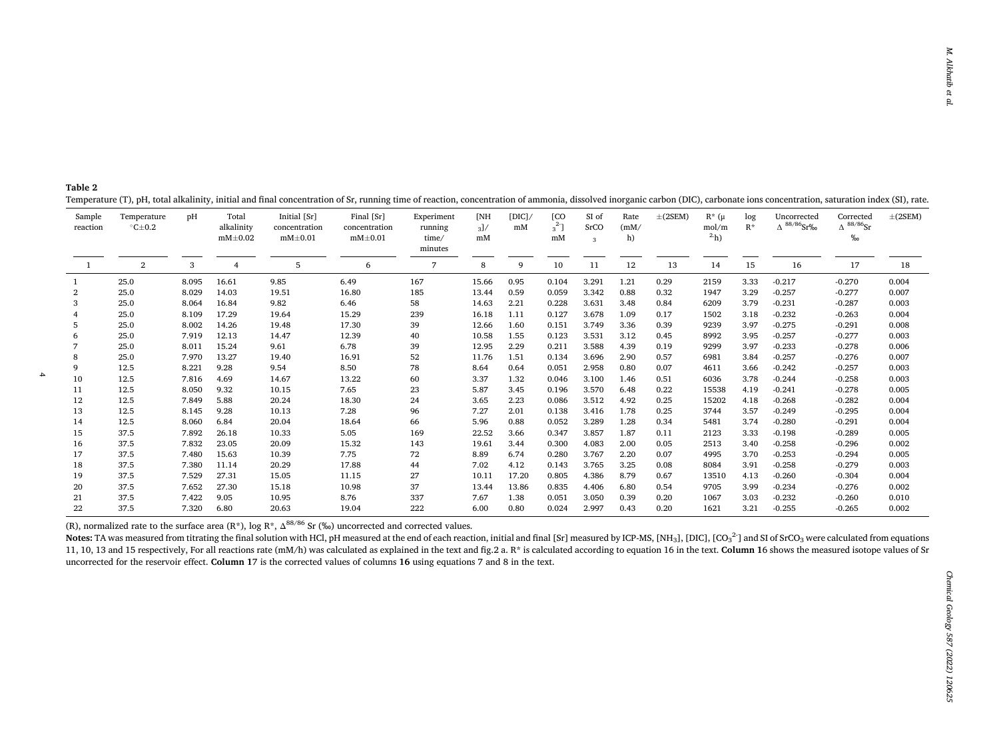<span id="page-3-0"></span>

| Table 2 |                                                                                                                                                                                                                                |  |  |
|---------|--------------------------------------------------------------------------------------------------------------------------------------------------------------------------------------------------------------------------------|--|--|
|         | Temperature (T), pH, total alkalinity, initial and final concentration of Sr, running time of reaction, concentration of ammonia, dissolved inorganic carbon (DIC), carbonate ions concentration, saturation index (SI), rate. |  |  |

|                    | .                                    |       |                                      |                                                |                                              |                                |                |              |                               |                    |                    |             |                                     |              |                                      |                                            |              |
|--------------------|--------------------------------------|-------|--------------------------------------|------------------------------------------------|----------------------------------------------|--------------------------------|----------------|--------------|-------------------------------|--------------------|--------------------|-------------|-------------------------------------|--------------|--------------------------------------|--------------------------------------------|--------------|
| Sample<br>reaction | Temperature<br>$\degree$ C $\pm$ 0.2 | pH    | Total<br>alkalinity<br>$mM \pm 0.02$ | Initial [Sr]<br>concentration<br>$mM \pm 0.01$ | Final [Sr]<br>concentration<br>$mM \pm 0.01$ | Experiment<br>running<br>time/ | [NH<br>3<br>mM | [DICl]<br>mM | <b>[CO</b><br>$3^{2}$ ]<br>mM | SI of<br>SrCO<br>3 | Rate<br>(mM)<br>h) | $\pm(2SEM)$ | $R^*$ ( $\mu$<br>mol/m<br>$^{2}$ h) | log<br>$R^*$ | Uncorrected<br>$\Delta$ 88/86 $Sr\%$ | Corrected<br>$\Delta^{88/86}$ Sr<br>$\%$ o | $\pm$ (2SEM) |
|                    |                                      |       |                                      |                                                |                                              | minutes                        |                |              |                               |                    |                    |             |                                     |              |                                      |                                            |              |
|                    | $\overline{2}$                       | 3     |                                      |                                                |                                              | $7\overline{ }$                |                |              |                               |                    | 12                 | 13          |                                     |              |                                      |                                            |              |
| -1                 |                                      |       |                                      | 5                                              | 6                                            |                                | 8              | 9            | 10                            | 11                 |                    |             | 14                                  | 15           | 16                                   | 17                                         | 18           |
|                    | 25.0                                 | 8.095 | 16.61                                | 9.85                                           | 6.49                                         | 167                            | 15.66          | 0.95         | 0.104                         | 3.291              | 1.21               | 0.29        | 2159                                | 3.33         | $-0.217$                             | $-0.270$                                   | 0.004        |
| 2                  | 25.0                                 | 8.029 | 14.03                                | 19.51                                          | 16.80                                        | 185                            | 13.44          | 0.59         | 0.059                         | 3.342              | 0.88               | 0.32        | 1947                                | 3.29         | $-0.257$                             | $-0.277$                                   | 0.007        |
| 3                  | 25.0                                 | 8.064 | 16.84                                | 9.82                                           | 6.46                                         | 58                             | 14.63          | 2.21         | 0.228                         | 3.631              | 3.48               | 0.84        | 6209                                | 3.79         | $-0.231$                             | $-0.287$                                   | 0.003        |
| $\overline{4}$     | 25.0                                 | 8.109 | 17.29                                | 19.64                                          | 15.29                                        | 239                            | 16.18          | 1.11         | 0.127                         | 3.678              | 1.09               | 0.17        | 1502                                | 3.18         | $-0.232$                             | $-0.263$                                   | 0.004        |
| 5                  | 25.0                                 | 8.002 | 14.26                                | 19.48                                          | 17.30                                        | 39                             | 12.66          | 1.60         | 0.151                         | 3.749              | 3.36               | 0.39        | 9239                                | 3.97         | $-0.275$                             | $-0.291$                                   | 0.008        |
| 6                  | 25.0                                 | 7.919 | 12.13                                | 14.47                                          | 12.39                                        | 40                             | 10.58          | 1.55         | 0.123                         | 3.531              | 3.12               | 0.45        | 8992                                | 3.95         | $-0.257$                             | $-0.277$                                   | 0.003        |
|                    | 25.0                                 | 8.011 | 15.24                                | 9.61                                           | 6.78                                         | 39                             | 12.95          | 2.29         | 0.211                         | 3.588              | 4.39               | 0.19        | 9299                                | 3.97         | $-0.233$                             | $-0.278$                                   | 0.006        |
| 8                  | 25.0                                 | 7.970 | 13.27                                | 19.40                                          | 16.91                                        | 52                             | 11.76          | 1.51         | 0.134                         | 3.696              | 2.90               | 0.57        | 6981                                | 3.84         | $-0.257$                             | $-0.276$                                   | 0.007        |
| 9                  | 12.5                                 | 8.221 | 9.28                                 | 9.54                                           | 8.50                                         | 78                             | 8.64           | 0.64         | 0.051                         | 2.958              | 0.80               | 0.07        | 4611                                | 3.66         | $-0.242$                             | $-0.257$                                   | 0.003        |
| 10                 | 12.5                                 | 7.816 | 4.69                                 | 14.67                                          | 13.22                                        | 60                             | 3.37           | 1.32         | 0.046                         | 3.100              | 1.46               | 0.51        | 6036                                | 3.78         | $-0.244$                             | $-0.258$                                   | 0.003        |
| 11                 | 12.5                                 | 8.050 | 9.32                                 | 10.15                                          | 7.65                                         | 23                             | 5.87           | 3.45         | 0.196                         | 3.570              | 6.48               | 0.22        | 15538                               | 4.19         | $-0.241$                             | $-0.278$                                   | 0.005        |
| 12                 | 12.5                                 | 7.849 | 5.88                                 | 20.24                                          | 18.30                                        | 24                             | 3.65           | 2.23         | 0.086                         | 3.512              | 4.92               | 0.25        | 15202                               | 4.18         | $-0.268$                             | $-0.282$                                   | 0.004        |
| 13                 | 12.5                                 | 8.145 | 9.28                                 | 10.13                                          | 7.28                                         | 96                             | 7.27           | 2.01         | 0.138                         | 3.416              | 1.78               | 0.25        | 3744                                | 3.57         | $-0.249$                             | $-0.295$                                   | 0.004        |
| 14                 | 12.5                                 | 8.060 | 6.84                                 | 20.04                                          | 18.64                                        | 66                             | 5.96           | 0.88         | 0.052                         | 3.289              | 1.28               | 0.34        | 5481                                | 3.74         | $-0.280$                             | $-0.291$                                   | 0.004        |
| 15                 | 37.5                                 | 7.892 | 26.18                                | 10.33                                          | 5.05                                         | 169                            | 22.52          | 3.66         | 0.347                         | 3.857              | 1.87               | 0.11        | 2123                                | 3.33         | $-0.198$                             | $-0.289$                                   | 0.005        |
| 16                 | 37.5                                 | 7.832 | 23.05                                | 20.09                                          | 15.32                                        | 143                            | 19.61          | 3.44         | 0.300                         | 4.083              | 2.00               | 0.05        | 2513                                | 3.40         | $-0.258$                             | $-0.296$                                   | 0.002        |
| 17                 | 37.5                                 | 7.480 | 15.63                                | 10.39                                          | 7.75                                         | 72                             | 8.89           | 6.74         | 0.280                         | 3.767              | 2.20               | 0.07        | 4995                                | 3.70         | $-0.253$                             | $-0.294$                                   | 0.005        |
| 18                 | 37.5                                 | 7.380 | 11.14                                | 20.29                                          | 17.88                                        | 44                             | 7.02           | 4.12         | 0.143                         | 3.765              | 3.25               | 0.08        | 8084                                | 3.91         | $-0.258$                             | $-0.279$                                   | 0.003        |
| 19                 | 37.5                                 | 7.529 | 27.31                                | 15.05                                          | 11.15                                        | 27                             | 10.11          | 17.20        | 0.805                         | 4.386              | 8.79               | 0.67        | 13510                               | 4.13         | $-0.260$                             | $-0.304$                                   | 0.004        |
| 20                 | 37.5                                 | 7.652 | 27.30                                | 15.18                                          | 10.98                                        | 37                             | 13.44          | 13.86        | 0.835                         | 4.406              | 6.80               | 0.54        | 9705                                | 3.99         | $-0.234$                             | $-0.276$                                   | 0.002        |
| 21                 | 37.5                                 | 7.422 | 9.05                                 | 10.95                                          | 8.76                                         | 337                            | 7.67           | 1.38         | 0.051                         | 3.050              | 0.39               | 0.20        | 1067                                | 3.03         | $-0.232$                             | $-0.260$                                   | 0.010        |
| 22                 | 37.5                                 | 7.320 | 6.80                                 | 20.63                                          | 19.04                                        | 222                            | 6.00           | 0.80         | 0.024                         | 2.997              | 0.43               | 0.20        | 1621                                | 3.21         | $-0.255$                             | $-0.265$                                   | 0.002        |

(R), normalized rate to the surface area (R<sup>\*</sup>), log R<sup>\*</sup>,  $\Delta^{88/86}$  Sr (‰) uncorrected and corrected values.

Notes: TA was measured from titrating the final solution with HCl, pH measured at the end of each reaction, initial and final [Sr] measured by ICP-MS, [NH<sub>3</sub>], [DIC], [CO<sub>3</sub><sup>2</sup>] and SI of SrCO<sub>3</sub> were calculated from equa 11, 10, 13 and 15 respectively, For all reactions rate (mM/h) was calculated as explained in the text and fig.2 a. R\* is calculated according to equation 16 in the text. Column 16 shows the measured isotope values of Sr uncorrected for the reservoir effect. **Column 1**7 is the corrected values of columns **16** using equations 7 and 8 in the text.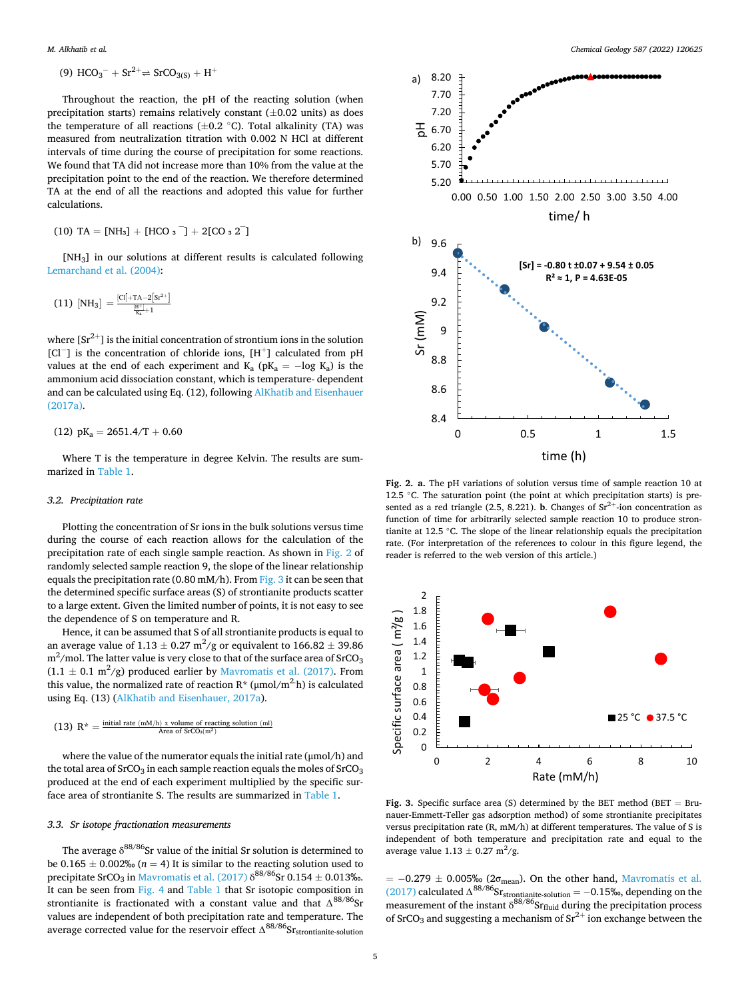(9) 
$$
HCO_3^- + Sr^{2+} \Rightarrow SrCO_{3(S)} + H^+
$$

Throughout the reaction, the pH of the reacting solution (when precipitation starts) remains relatively constant  $(\pm 0.02 \text{ units})$  as does the temperature of all reactions  $(\pm 0.2 \degree C)$ . Total alkalinity (TA) was measured from neutralization titration with 0.002 N HCl at different intervals of time during the course of precipitation for some reactions. We found that TA did not increase more than 10% from the value at the precipitation point to the end of the reaction. We therefore determined TA at the end of all the reactions and adopted this value for further calculations.

$$
(10) TA = [NH3] + [HCO3^-] + 2[CO32^-]
$$

[NH3] in our solutions at different results is calculated following [Lemarchand et al. \(2004\)](#page-6-0):

$$
(11)~[\text{NH}_3]=\tfrac{[\text{CI}]+T\text{A}-2\left[\text{Sr}^{2+}\right]}{\frac{[\text{H}^+]}{\text{K}_a}+1}
$$

where  $[Sr^{2+}]$  is the initial concentration of strontium ions in the solution [Cl<sup>−</sup>] is the concentration of chloride ions, [H<sup>+</sup>] calculated from pH values at the end of each experiment and  $K_a$  (p $K_a$  = -log  $K_a$ ) is the ammonium acid dissociation constant, which is temperature- dependent and can be calculated using Eq. (12), following [AlKhatib and Eisenhauer](#page-6-0)  [\(2017a\).](#page-6-0)

$$
(12)\ pK_a=2651.4/T+0.60
$$

Where T is the temperature in degree Kelvin. The results are summarized in [Table 1](#page-2-0).

### *3.2. Precipitation rate*

Plotting the concentration of Sr ions in the bulk solutions versus time during the course of each reaction allows for the calculation of the precipitation rate of each single sample reaction. As shown in Fig. 2 of randomly selected sample reaction 9, the slope of the linear relationship equals the precipitation rate (0.80 mM/h). From Fig. 3 it can be seen that the determined specific surface areas (S) of strontianite products scatter to a large extent. Given the limited number of points, it is not easy to see the dependence of S on temperature and R.

Hence, it can be assumed that S of all strontianite products is equal to an average value of 1.13  $\pm$  0.27 m<sup>2</sup>/g or equivalent to 166.82  $\pm$  39.86 m $^2$ /mol. The latter value is very close to that of the surface area of SrCO $_3$  $(1.1 \pm 0.1 \text{ m}^2/\text{g})$  produced earlier by [Mavromatis et al. \(2017\).](#page-6-0) From this value, the normalized rate of reaction  $R^*$  ( $\mu$ mol/m<sup>2.</sup>h) is calculated using Eq. (13) ([AlKhatib and Eisenhauer, 2017a](#page-6-0)).

$$
(13) \ \ R^* = \tfrac{\text{initial rate } (mM/h) \ x \ \text{volume of reacting solution } (ml)}{\text{Area of } \mathrm{SrCo_3}(m^2)}
$$

where the value of the numerator equals the initial rate (μmol/h) and the total area of  $SrCO<sub>3</sub>$  in each sample reaction equals the moles of  $SrCO<sub>3</sub>$ produced at the end of each experiment multiplied by the specific surface area of strontianite S. The results are summarized in [Table 1](#page-2-0).

### *3.3. Sr isotope fractionation measurements*

The average  $\delta^{88/86} \rm{Sr}$  value of the initial Sr solution is determined to be  $0.165 \pm 0.002\%$  ( $n = 4$ ) It is similar to the reacting solution used to precipitate SrCO<sub>3</sub> in [Mavromatis et al. \(2017\)](#page-6-0)  $\delta^{88/86}$ Sr 0.154  $\pm$  0.013‰. It can be seen from [Fig. 4](#page-5-0) and [Table 1](#page-2-0) that Sr isotopic composition in strontianite is fractionated with a constant value and that  $\Delta^{88/86}$ Sr values are independent of both precipitation rate and temperature. The average corrected value for the reservoir effect  $\Delta^{88/86}$ Srstrontianite-solution



**Fig. 2. a.** The pH variations of solution versus time of sample reaction 10 at 12.5 ◦C. The saturation point (the point at which precipitation starts) is presented as a red triangle (2.5, 8.221). **b**. Changes of  $Sr^{2+}$ -ion concentration as function of time for arbitrarily selected sample reaction 10 to produce strontianite at 12.5 ◦C. The slope of the linear relationship equals the precipitation rate. (For interpretation of the references to colour in this figure legend, the reader is referred to the web version of this article.)



**Fig. 3.** Specific surface area (S) determined by the BET method (BET  $=$  Brunauer-Emmett-Teller gas adsorption method) of some strontianite precipitates versus precipitation rate (R, mM/h) at different temperatures. The value of S is independent of both temperature and precipitation rate and equal to the average value  $1.13 \pm 0.27$  m<sup>2</sup>/g.

 $= -0.279 \pm 0.005\%$  (2 $\sigma_{\text{mean}}$ ). On the other hand, Mavromatis et al. [\(2017\)](#page-6-0) calculated  $\Delta^{88/86}$ Sr<sub>strontianite-solution</sub> = −0.15‰, depending on the measurement of the instant  $\delta^{88/86}$ Sr<sub>fluid</sub> during the precipitation process of SrCO<sub>3</sub> and suggesting a mechanism of  $Sr^{2+}$  ion exchange between the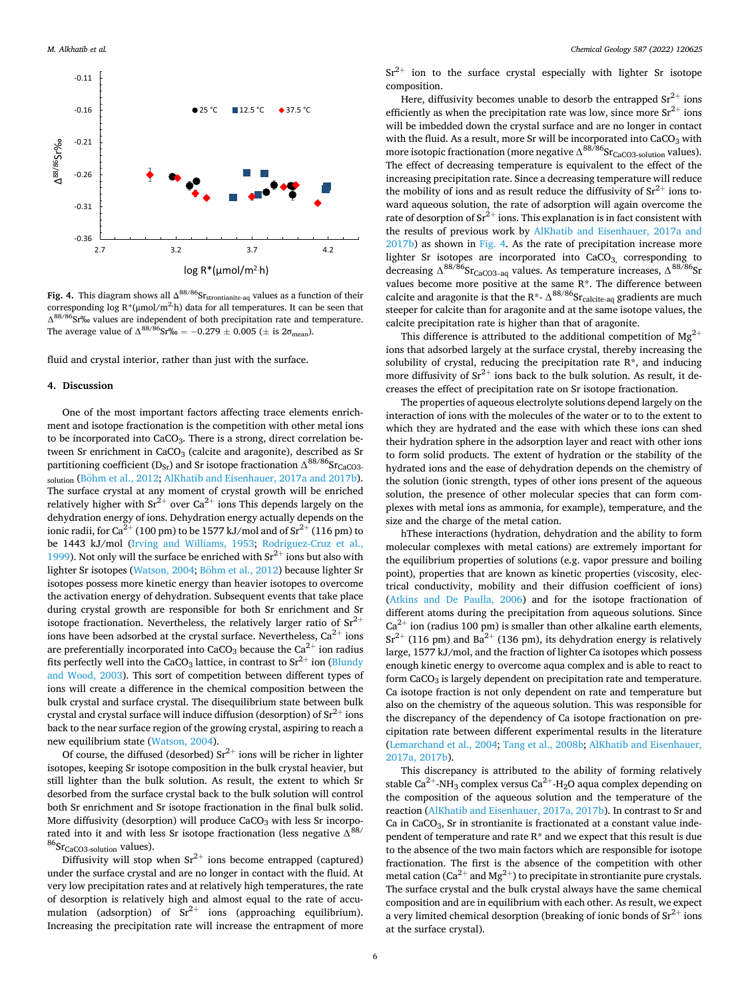<span id="page-5-0"></span>

Fig. 4. This diagram shows all Δ<sup>88/86</sup>Sr<sub>strontianite-aq</sub> values as a function of their corresponding log R<sup>\*</sup>(μmol/m<sup>2</sup>·h) data for all temperatures. It can be seen that ∆88/86Sr‰ values are independent of both precipitation rate and temperature. The average value of  $\Delta^{88/86}$ Sr‰ = -0.279 ± 0.005 (± is 2 $\sigma_{\text{mean}}$ ).

fluid and crystal interior, rather than just with the surface.

#### **4. Discussion**

One of the most important factors affecting trace elements enrichment and isotope fractionation is the competition with other metal ions to be incorporated into CaCO<sub>3</sub>. There is a strong, direct correlation between Sr enrichment in CaCO<sub>3</sub> (calcite and aragonite), described as Sr partitioning coefficient (D<sub>Sr</sub>) and Sr isotope fractionation  $\Delta^{88/86}$ Sr<sub>CaCO3</sub>. solution (Böhm [et al., 2012](#page-6-0); [AlKhatib and Eisenhauer, 2017a and 2017b](#page-6-0)). The surface crystal at any moment of crystal growth will be enriched relatively higher with  $Sr^{2+}$  over  $Ca^{2+}$  ions This depends largely on the dehydration energy of ions. Dehydration energy actually depends on the ionic radii, for Ca<sup>2+</sup> (100 pm) to be 1577 kJ/mol and of  $\text{Sr}^{2+}$  (116 pm) to be 1443 kJ/mol ([Irving and Williams, 1953](#page-6-0); [Rodriguez-Cruz et al.,](#page-6-0)  [1999\)](#page-6-0). Not only will the surface be enriched with  $Sr^{2+}$  ions but also with lighter Sr isotopes [\(Watson, 2004](#page-6-0); Böhm [et al., 2012](#page-6-0)) because lighter Sr isotopes possess more kinetic energy than heavier isotopes to overcome the activation energy of dehydration. Subsequent events that take place during crystal growth are responsible for both Sr enrichment and Sr isotope fractionation. Nevertheless, the relatively larger ratio of  $Sr^{2+}$ ions have been adsorbed at the crystal surface. Nevertheless,  $Ca^{2+}$  ions are preferentially incorporated into  $CaCO<sub>3</sub>$  because the  $Ca<sup>2+</sup>$  ion radius fits perfectly well into the CaCO<sub>3</sub> lattice, in contrast to  $Sr^{2+}$  ion (Blundy [and Wood, 2003](#page-6-0)). This sort of competition between different types of ions will create a difference in the chemical composition between the bulk crystal and surface crystal. The disequilibrium state between bulk crystal and crystal surface will induce diffusion (desorption) of  $Sr^{2+}$  ions back to the near surface region of the growing crystal, aspiring to reach a new equilibrium state [\(Watson, 2004](#page-6-0)).

Of course, the diffused (desorbed)  $Sr^{2+}$  ions will be richer in lighter isotopes, keeping Sr isotope composition in the bulk crystal heavier, but still lighter than the bulk solution. As result, the extent to which Sr desorbed from the surface crystal back to the bulk solution will control both Sr enrichment and Sr isotope fractionation in the final bulk solid. More diffusivity (desorption) will produce  $CaCO<sub>3</sub>$  with less Sr incorporated into it and with less Sr isotope fractionation (less negative  $\Delta^{88/}$  ${}^{86}Sr<sub>CaCO3-solution</sub>$  values).

Diffusivity will stop when  $Sr^{2+}$  ions become entrapped (captured) under the surface crystal and are no longer in contact with the fluid. At very low precipitation rates and at relatively high temperatures, the rate of desorption is relatively high and almost equal to the rate of accumulation (adsorption) of  $Sr^{2+}$  ions (approaching equilibrium). Increasing the precipitation rate will increase the entrapment of more

 $Sr^{2+}$  ion to the surface crystal especially with lighter Sr isotope composition.

Here, diffusivity becomes unable to desorb the entrapped  $Sr^{2+}$  ions efficiently as when the precipitation rate was low, since more  $Sr^{2+}$  ions will be imbedded down the crystal surface and are no longer in contact with the fluid. As a result, more Sr will be incorporated into  $CaCO<sub>3</sub>$  with more isotopic fractionation (more negative  $\Delta^{88/86}$ Sr<sub>CaCO3-solution</sub> values). The effect of decreasing temperature is equivalent to the effect of the increasing precipitation rate. Since a decreasing temperature will reduce the mobility of ions and as result reduce the diffusivity of  $\rm Sr^{2+}$  ions toward aqueous solution, the rate of adsorption will again overcome the rate of desorption of  $Sr^{2+}$  ions. This explanation is in fact consistent with the results of previous work by [AlKhatib and Eisenhauer, 2017a and](#page-6-0)  [2017b\)](#page-6-0) as shown in Fig. 4. As the rate of precipitation increase more lighter Sr isotopes are incorporated into CaCO<sub>3</sub>, corresponding to decreasing  $\Delta^{88/86}$ Sr<sub>CaCO3–aq</sub> values. As temperature increases,  $\Delta^{88/86}$ Sr values become more positive at the same R\*. The difference between calcite and aragonite is that the R\*-  $\Delta^{88/86}$ Sr<sub>calcite-aq</sub> gradients are much steeper for calcite than for aragonite and at the same isotope values, the calcite precipitation rate is higher than that of aragonite.

This difference is attributed to the additional competition of  $Mg^{2+}$ ions that adsorbed largely at the surface crystal, thereby increasing the solubility of crystal, reducing the precipitation rate  $R^*$ , and inducing more diffusivity of  $Sr^{2+}$  ions back to the bulk solution. As result, it decreases the effect of precipitation rate on Sr isotope fractionation.

The properties of aqueous electrolyte solutions depend largely on the interaction of ions with the molecules of the water or to to the extent to which they are hydrated and the ease with which these ions can shed their hydration sphere in the adsorption layer and react with other ions to form solid products. The extent of hydration or the stability of the hydrated ions and the ease of dehydration depends on the chemistry of the solution (ionic strength, types of other ions present of the aqueous solution, the presence of other molecular species that can form complexes with metal ions as ammonia, for example), temperature, and the size and the charge of the metal cation.

hThese interactions (hydration, dehydration and the ability to form molecular complexes with metal cations) are extremely important for the equilibrium properties of solutions (e.g. vapor pressure and boiling point), properties that are known as kinetic properties (viscosity, electrical conductivity, mobility and their diffusion coefficient of ions) ([Atkins and De Paulla, 2006](#page-6-0)) and for the isotope fractionation of different atoms during the precipitation from aqueous solutions. Since  $Ca^{2+}$  ion (radius 100 pm) is smaller than other alkaline earth elements,  $Sr^{2+}$  (116 pm) and Ba<sup>2+</sup> (136 pm), its dehydration energy is relatively large, 1577 kJ/mol, and the fraction of lighter Ca isotopes which possess enough kinetic energy to overcome aqua complex and is able to react to form CaCO<sub>3</sub> is largely dependent on precipitation rate and temperature. Ca isotope fraction is not only dependent on rate and temperature but also on the chemistry of the aqueous solution. This was responsible for the discrepancy of the dependency of Ca isotope fractionation on precipitation rate between different experimental results in the literature ([Lemarchand et al., 2004](#page-6-0); [Tang et al., 2008b; AlKhatib and Eisenhauer,](#page-6-0)  [2017a, 2017b\)](#page-6-0).

This discrepancy is attributed to the ability of forming relatively stable Ca<sup>2+</sup>-NH<sub>3</sub> complex versus Ca<sup>2+</sup>-H<sub>2</sub>O aqua complex depending on the composition of the aqueous solution and the temperature of the reaction [\(AlKhatib and Eisenhauer, 2017a, 2017b\)](#page-6-0). In contrast to Sr and Ca in CaCO<sub>3</sub>, Sr in strontianite is fractionated at a constant value independent of temperature and rate R\* and we expect that this result is due to the absence of the two main factors which are responsible for isotope fractionation. The first is the absence of the competition with other metal cation ( $Ca^{2+}$  and Mg<sup>2+</sup>) to precipitate in strontianite pure crystals. The surface crystal and the bulk crystal always have the same chemical composition and are in equilibrium with each other. As result, we expect a very limited chemical desorption (breaking of ionic bonds of  $\text{Sr}^{2+}$  ions at the surface crystal).